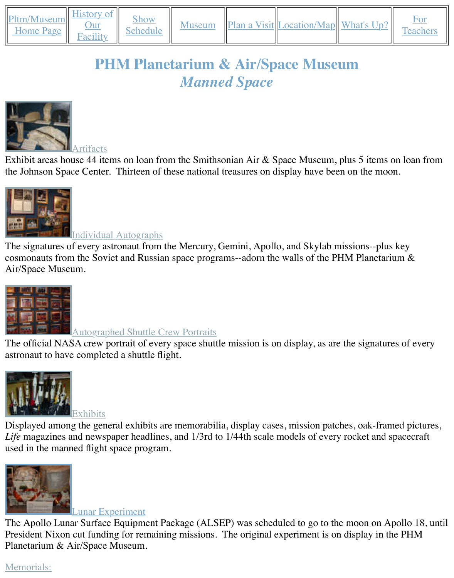## *Manned Space*



Exhibit areas house 44 items on loan from the Smithsonian Air & Space Museum, plus 5 items the Johnson Space Center. Thirteen of these national treasures on display have been on the mo



#### [Individua](http://old.transitofvenus.org/phm/artifacts.htm)l Autographs

The signatures of every astronaut from the Mercury, Gemini, Apollo, and Skylab missions--plus cosmonauts from the Soviet and Russian space programs--adorn the walls of the PHM Planeta [Air/Space Museum.](http://old.transitofvenus.org/phm/autographs.htm)



### Autographed Shuttle Crew Portraits

The official NASA crew portrait of every space shuttle mission is on display, as are the signature astronaut to have completed a shuttle flight.



Displayed among the general exhibits are memorabilia, display cases, mission patches, oak-framed pictures, of the pictures, of the pictures, of the pictures, of the pictures, of the pictures, of the pictures, or  $\alpha$ Life magazines and newspaper headlines, and 1/3rd to 1/44th scale models of every rocket and [used in the manned flight](http://old.transitofvenus.org/phm/exhibits.htm) space program.



#### Lunar Experiment

The Apollo Lunar Surface Equipment Package (ALSEP) was scheduled to go to the moon on Apollo 18, The President Nixon cut funding for remaining missions. The original experiment is on display in [Planetarium & Air/Space Museum.](http://old.transitofvenus.org/phm/alsep.jpg)

# Memorials: